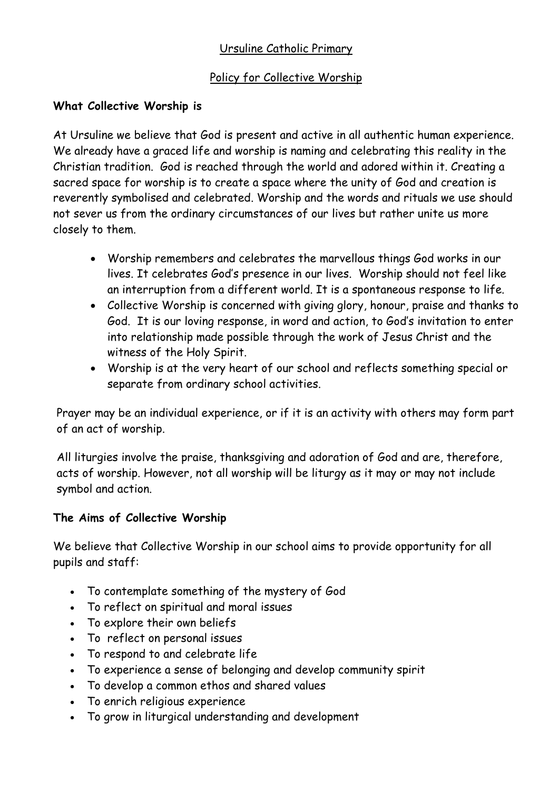# Ursuline Catholic Primary

### Policy for Collective Worship

#### **What Collective Worship is**

At Ursuline we believe that God is present and active in all authentic human experience. We already have a graced life and worship is naming and celebrating this reality in the Christian tradition. God is reached through the world and adored within it. Creating a sacred space for worship is to create a space where the unity of God and creation is reverently symbolised and celebrated. Worship and the words and rituals we use should not sever us from the ordinary circumstances of our lives but rather unite us more closely to them.

- Worship remembers and celebrates the marvellous things God works in our lives. It celebrates God's presence in our lives. Worship should not feel like an interruption from a different world. It is a spontaneous response to life.
- Collective Worship is concerned with giving glory, honour, praise and thanks to God. It is our loving response, in word and action, to God's invitation to enter into relationship made possible through the work of Jesus Christ and the witness of the Holy Spirit.
- Worship is at the very heart of our school and reflects something special or separate from ordinary school activities.

Prayer may be an individual experience, or if it is an activity with others may form part of an act of worship.

All liturgies involve the praise, thanksgiving and adoration of God and are, therefore, acts of worship. However, not all worship will be liturgy as it may or may not include symbol and action.

#### **The Aims of Collective Worship**

We believe that Collective Worship in our school aims to provide opportunity for all pupils and staff:

- To contemplate something of the mystery of God
- To reflect on spiritual and moral issues
- To explore their own beliefs
- To reflect on personal issues
- To respond to and celebrate life
- To experience a sense of belonging and develop community spirit
- To develop a common ethos and shared values
- To enrich religious experience
- To grow in liturgical understanding and development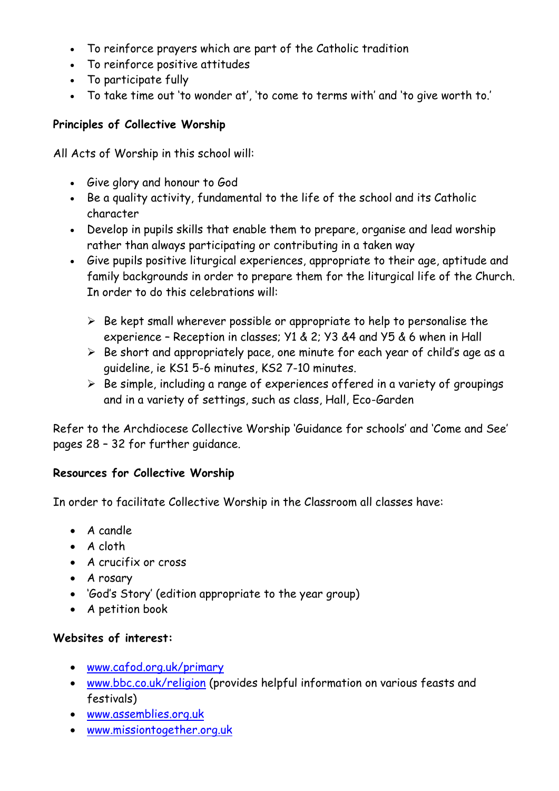- To reinforce prayers which are part of the Catholic tradition
- To reinforce positive attitudes
- To participate fully
- To take time out 'to wonder at', 'to come to terms with' and 'to give worth to.'

# **Principles of Collective Worship**

All Acts of Worship in this school will:

- Give glory and honour to God
- Be a quality activity, fundamental to the life of the school and its Catholic character
- Develop in pupils skills that enable them to prepare, organise and lead worship rather than always participating or contributing in a taken way
- Give pupils positive liturgical experiences, appropriate to their age, aptitude and family backgrounds in order to prepare them for the liturgical life of the Church. In order to do this celebrations will:
	- $\triangleright$  Be kept small wherever possible or appropriate to help to personalise the experience – Reception in classes; Y1 & 2; Y3 &4 and Y5 & 6 when in Hall
	- $\triangleright$  Be short and appropriately pace, one minute for each year of child's age as a guideline, ie KS1 5-6 minutes, KS2 7-10 minutes.
	- $\triangleright$  Be simple, including a range of experiences offered in a variety of groupings and in a variety of settings, such as class, Hall, Eco-Garden

Refer to the Archdiocese Collective Worship 'Guidance for schools' and 'Come and See' pages 28 – 32 for further guidance.

# **Resources for Collective Worship**

In order to facilitate Collective Worship in the Classroom all classes have:

- A candle
- A cloth
- A crucifix or cross
- A rosary
- 'God's Story' (edition appropriate to the year group)
- A petition book

# **Websites of interest:**

- [www.cafod.org.uk/primary](http://www.cafod.org.uk/primary)
- [www.bbc.co.uk/religion](http://www.bbc.co.uk/religion) (provides helpful information on various feasts and festivals)
- [www.assemblies.org.uk](http://www.assemblies.org.uk/)
- [www.missiontogether.org.uk](http://www.missiontogether.org.uk/)